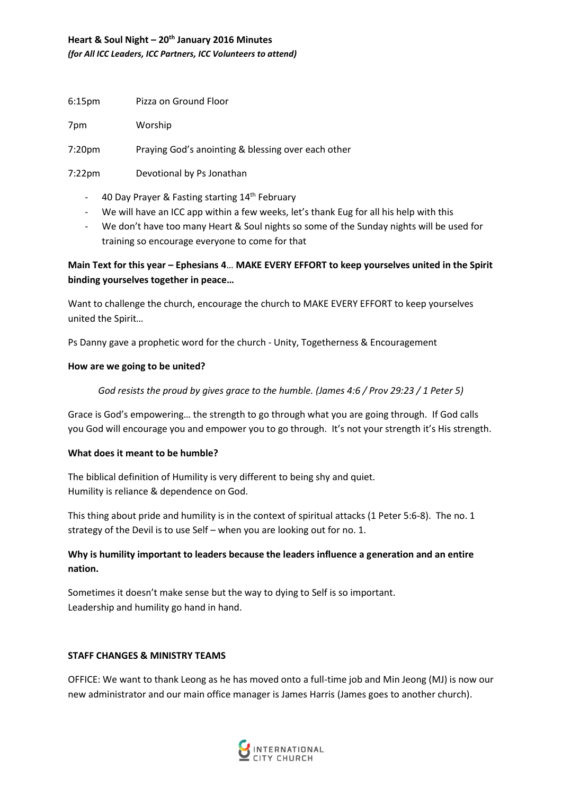# **Heart & Soul Night – 20th January 2016 Minutes**  *(for All ICC Leaders, ICC Partners, ICC Volunteers to attend)*

| 6:15pm | Pizza on Ground Floor |
|--------|-----------------------|
|        |                       |

7pm Worship

7:20pm Praying God's anointing & blessing over each other

7:22pm Devotional by Ps Jonathan

- 40 Day Prayer & Fasting starting 14<sup>th</sup> February
- We will have an ICC app within a few weeks, let's thank Eug for all his help with this
- We don't have too many Heart & Soul nights so some of the Sunday nights will be used for training so encourage everyone to come for that

# **Main Text for this year – Ephesians 4**… **MAKE EVERY EFFORT to keep yourselves united in the Spirit binding yourselves together in peace…**

Want to challenge the church, encourage the church to MAKE EVERY EFFORT to keep yourselves united the Spirit…

Ps Danny gave a prophetic word for the church - Unity, Togetherness & Encouragement

# **How are we going to be united?**

*God resists the proud by gives grace to the humble. (James 4:6 / Prov 29:23 / 1 Peter 5)*

Grace is God's empowering… the strength to go through what you are going through. If God calls you God will encourage you and empower you to go through. It's not your strength it's His strength.

# **What does it meant to be humble?**

The biblical definition of Humility is very different to being shy and quiet. Humility is reliance & dependence on God.

This thing about pride and humility is in the context of spiritual attacks (1 Peter 5:6-8). The no. 1 strategy of the Devil is to use Self – when you are looking out for no. 1.

# **Why is humility important to leaders because the leaders influence a generation and an entire nation.**

Sometimes it doesn't make sense but the way to dying to Self is so important. Leadership and humility go hand in hand.

# **STAFF CHANGES & MINISTRY TEAMS**

OFFICE: We want to thank Leong as he has moved onto a full-time job and Min Jeong (MJ) is now our new administrator and our main office manager is James Harris (James goes to another church).

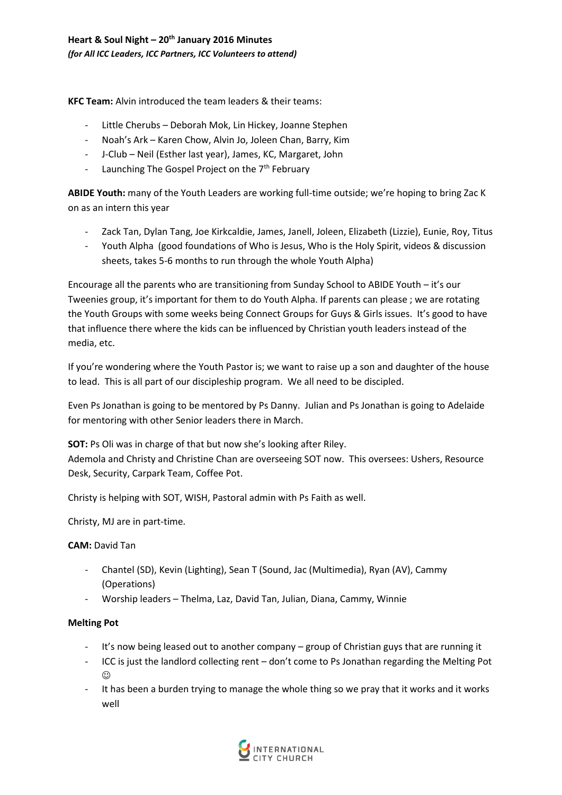**KFC Team:** Alvin introduced the team leaders & their teams:

- Little Cherubs Deborah Mok, Lin Hickey, Joanne Stephen
- Noah's Ark Karen Chow, Alvin Jo, Joleen Chan, Barry, Kim
- J-Club Neil (Esther last year), James, KC, Margaret, John
- Launching The Gospel Project on the  $7<sup>th</sup>$  February

**ABIDE Youth:** many of the Youth Leaders are working full-time outside; we're hoping to bring Zac K on as an intern this year

- Zack Tan, Dylan Tang, Joe Kirkcaldie, James, Janell, Joleen, Elizabeth (Lizzie), Eunie, Roy, Titus
- Youth Alpha (good foundations of Who is Jesus, Who is the Holy Spirit, videos & discussion sheets, takes 5-6 months to run through the whole Youth Alpha)

Encourage all the parents who are transitioning from Sunday School to ABIDE Youth – it's our Tweenies group, it's important for them to do Youth Alpha. If parents can please ; we are rotating the Youth Groups with some weeks being Connect Groups for Guys & Girls issues. It's good to have that influence there where the kids can be influenced by Christian youth leaders instead of the media, etc.

If you're wondering where the Youth Pastor is; we want to raise up a son and daughter of the house to lead. This is all part of our discipleship program. We all need to be discipled.

Even Ps Jonathan is going to be mentored by Ps Danny. Julian and Ps Jonathan is going to Adelaide for mentoring with other Senior leaders there in March.

**SOT:** Ps Oli was in charge of that but now she's looking after Riley. Ademola and Christy and Christine Chan are overseeing SOT now. This oversees: Ushers, Resource Desk, Security, Carpark Team, Coffee Pot.

Christy is helping with SOT, WISH, Pastoral admin with Ps Faith as well.

Christy, MJ are in part-time.

# **CAM:** David Tan

- Chantel (SD), Kevin (Lighting), Sean T (Sound, Jac (Multimedia), Ryan (AV), Cammy (Operations)
- Worship leaders Thelma, Laz, David Tan, Julian, Diana, Cammy, Winnie

# **Melting Pot**

- It's now being leased out to another company group of Christian guys that are running it
- ICC is just the landlord collecting rent don't come to Ps Jonathan regarding the Melting Pot  $_{\odot}$
- It has been a burden trying to manage the whole thing so we pray that it works and it works well